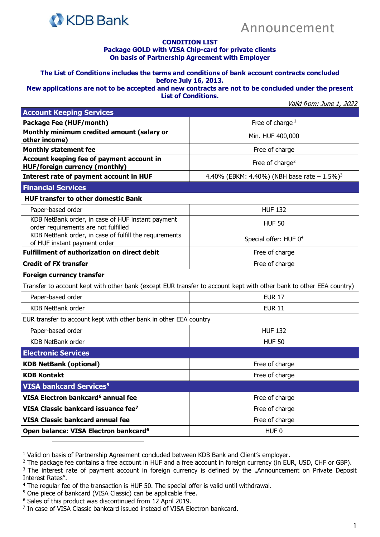

## Announcement

## **CONDITION LIST**

## **Package GOLD with VISA Chip-card for private clients On basis of Partnership Agreement with Employer**

**The List of Conditions includes the terms and conditions of bank account contracts concluded before July 16, 2013.**

**New applications are not to be accepted and new contracts are not to be concluded under the present List of Conditions.**

Valid from: June 1, 2022

| <b>Account Keeping Services</b>                                                                                     |                                                             |
|---------------------------------------------------------------------------------------------------------------------|-------------------------------------------------------------|
| <b>Package Fee (HUF/month)</b>                                                                                      | Free of charge $1$                                          |
| Monthly minimum credited amount (salary or<br>other income)                                                         | Min. HUF 400,000                                            |
| <b>Monthly statement fee</b>                                                                                        | Free of charge                                              |
| Account keeping fee of payment account in<br><b>HUF/foreign currency (monthly)</b>                                  | Free of charge <sup>2</sup>                                 |
| Interest rate of payment account in HUF                                                                             | 4.40% (EBKM: 4.40%) (NBH base rate $- 1.5\%$ ) <sup>3</sup> |
| <b>Financial Services</b>                                                                                           |                                                             |
| <b>HUF transfer to other domestic Bank</b>                                                                          |                                                             |
| Paper-based order                                                                                                   | <b>HUF 132</b>                                              |
| KDB NetBank order, in case of HUF instant payment<br>order requirements are not fulfilled                           | <b>HUF 50</b>                                               |
| KDB NetBank order, in case of fulfill the requirements<br>of HUF instant payment order                              | Special offer: HUF 0 <sup>4</sup>                           |
| <b>Fulfillment of authorization on direct debit</b>                                                                 | Free of charge                                              |
| <b>Credit of FX transfer</b>                                                                                        | Free of charge                                              |
| <b>Foreign currency transfer</b>                                                                                    |                                                             |
| Transfer to account kept with other bank (except EUR transfer to account kept with other bank to other EEA country) |                                                             |
| Paper-based order                                                                                                   | <b>EUR 17</b>                                               |
| <b>KDB NetBank order</b>                                                                                            | <b>EUR 11</b>                                               |
| EUR transfer to account kept with other bank in other EEA country                                                   |                                                             |
| Paper-based order                                                                                                   | <b>HUF 132</b>                                              |
| KDB NetBank order                                                                                                   | <b>HUF 50</b>                                               |
| <b>Electronic Services</b>                                                                                          |                                                             |
| <b>KDB NetBank (optional)</b>                                                                                       | Free of charge                                              |
| <b>KDB Kontakt</b>                                                                                                  | Free of charge                                              |
| <b>VISA bankcard Services<sup>5</sup></b>                                                                           |                                                             |
| VISA Electron bankcard <sup>6</sup> annual fee                                                                      | Free of charge                                              |
| VISA Classic bankcard issuance fee <sup>7</sup>                                                                     | Free of charge                                              |
| <b>VISA Classic bankcard annual fee</b>                                                                             | Free of charge                                              |
| Open balance: VISA Electron bankcard <sup>6</sup>                                                                   | HUF <sub>0</sub>                                            |

<sup>1</sup> Valid on basis of Partnership Agreement concluded between KDB Bank and Client's employer.

<sup>2</sup> The package fee contains a free account in HUF and a free account in foreign currency (in EUR, USD, CHF or GBP).

<sup>3</sup> The interest rate of payment account in foreign currency is defined by the "Announcement on Private Deposit Interest Rates".

- <sup>4</sup> The regular fee of the transaction is HUF 50. The special offer is valid until withdrawal.
- <sup>5</sup> One piece of bankcard (VISA Classic) can be applicable free.
- <sup>6</sup> Sales of this product was discontinued from 12 April 2019.
- <sup>7</sup> In case of VISA Classic bankcard issued instead of VISA Electron bankcard.